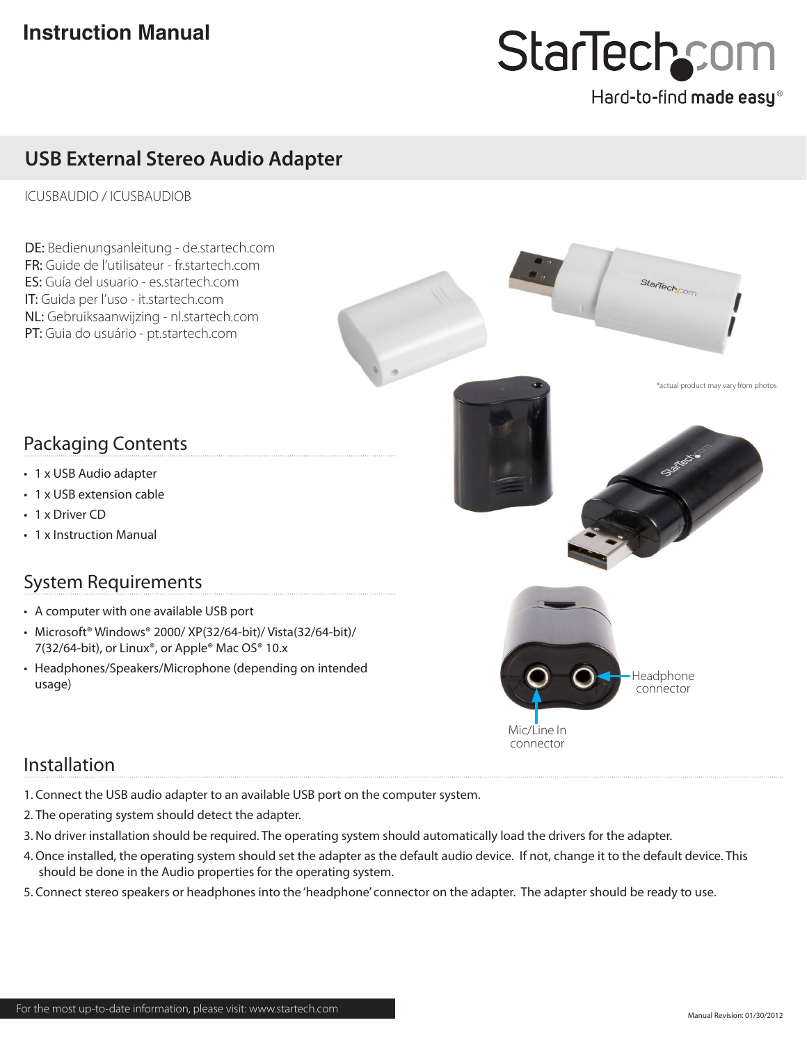# StarTechcor

## Hard-to-find made easy®

StarTechcom

## **USB External Stereo Audio Adapter**

#### ICUSBAUDIO / ICUSBAUDIOB

DE: Bedienungsanleitung - de.startech.com FR: Guide de l'utilisateur - fr.startech.com ES: Guía del usuario - es.startech.com IT: Guida per l'uso - it.startech.com NL: Gebruiksaanwijzing - nl.startech.com PT: Guia do usuário - pt.startech.com

### Packaging Contents

- 1 x USB Audio adapter
- 1 x USB extension cable
- 1 x Driver CD
- 1 x Instruction Manual

## System Requirements

- • A computer with one available USB port
- • Microsoft® Windows® 2000/ XP(32/64-bit)/ Vista(32/64-bit)/ 7(32/64-bit), or Linux®, or Apple® Mac OS® 10.x
- Headphones/Speakers/Microphone (depending on intended usage)



Mic/Line In connector

#### Installation

- 1. Connect the USB audio adapter to an available USB port on the computer system.
- 2. The operating system should detect the adapter.
- 3. No driver installation should be required. The operating system should automatically load the drivers for the adapter.
- 4. Once installed, the operating system should set the adapter as the default audio device. If not, change it to the default device. This should be done in the Audio properties for the operating system.
- 5. Connect stereo speakers or headphones into the 'headphone' connector on the adapter. The adapter should be ready to use.